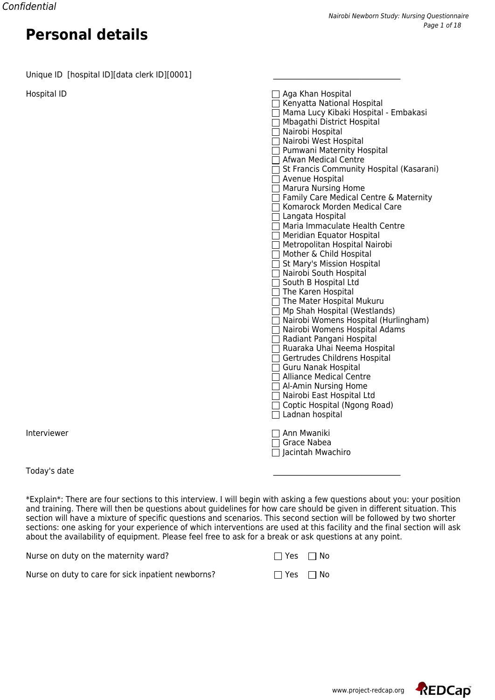Unique ID [hospital ID][data clerk ID][0001]

Hospital ID

Interviewer

Today's date \_\_\_\_\_\_\_\_\_\_\_\_\_\_\_\_\_\_\_\_\_\_\_\_\_\_\_\_\_\_\_\_\_\_

\*Explain\*: There are four sections to this interview. I will begin with asking a few questions about you: your position and training. There will then be questions about guidelines for how care should be given in different situation. This section will have a mixture of specific questions and scenarios. This second section will be followed by two shorter sections: one asking for your experience of which interventions are used at this facility and the final section will ask about the availability of equipment. Please feel free to ask for a break or ask questions at any point.

| Nurse on duty on the maternity ward?               | $\Box$ Yes $\Box$ No |  |
|----------------------------------------------------|----------------------|--|
| Nurse on duty to care for sick inpatient newborns? | $\Box$ Yes $\Box$ No |  |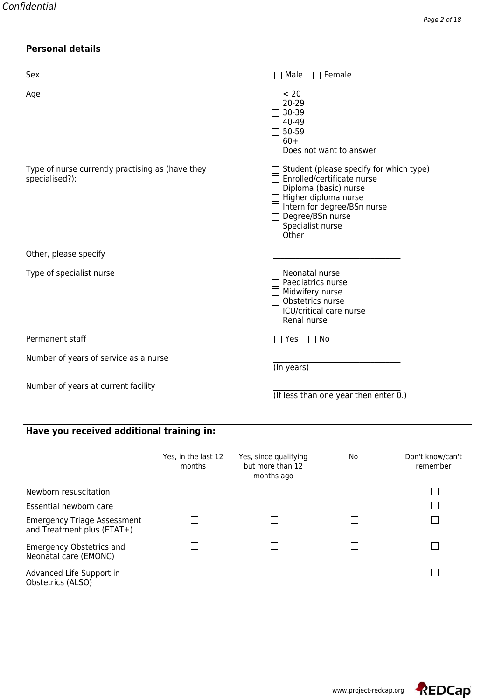## **Personal details**

| Sex                                                                | Male<br>$\sqsupset$ Female                                                                                                                                                                                      |
|--------------------------------------------------------------------|-----------------------------------------------------------------------------------------------------------------------------------------------------------------------------------------------------------------|
| Age                                                                | < 20<br>20-29<br>30-39<br>40-49<br>50-59<br>$60+$<br>Does not want to answer                                                                                                                                    |
| Type of nurse currently practising as (have they<br>specialised?): | $\Box$ Student (please specify for which type)<br>Enrolled/certificate nurse<br>Diploma (basic) nurse<br>Higher diploma nurse<br>□ Intern for degree/BSn nurse<br>Degree/BSn nurse<br>Specialist nurse<br>Other |
| Other, please specify                                              |                                                                                                                                                                                                                 |
| Type of specialist nurse                                           | Neonatal nurse<br>Paediatrics nurse<br>Midwifery nurse<br>Obstetrics nurse<br>$\Box$ ICU/critical care nurse<br>Renal nurse                                                                                     |
| Permanent staff                                                    | $\Box$ No<br>$\Box$ Yes                                                                                                                                                                                         |
| Number of years of service as a nurse                              | (In years)                                                                                                                                                                                                      |
| Number of years at current facility                                | (If less than one year then enter $0.$ )                                                                                                                                                                        |

## **Have you received additional training in:**

|                                                                  | Yes, in the last 12<br>months | Yes, since qualifying<br>but more than 12<br>months ago | No. | Don't know/can't<br>remember |
|------------------------------------------------------------------|-------------------------------|---------------------------------------------------------|-----|------------------------------|
| Newborn resuscitation                                            |                               |                                                         |     |                              |
| Essential newborn care                                           |                               |                                                         |     |                              |
| <b>Emergency Triage Assessment</b><br>and Treatment plus (ETAT+) |                               |                                                         |     |                              |
| <b>Emergency Obstetrics and</b><br>Neonatal care (EMONC)         |                               |                                                         |     |                              |
| Advanced Life Support in<br>Obstetrics (ALSO)                    |                               |                                                         |     |                              |

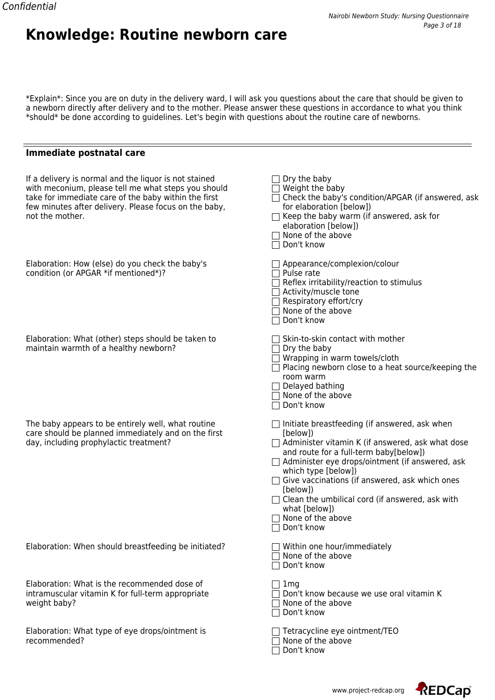#### \*Explain\*: Since you are on duty in the delivery ward, I will ask you questions about the care that should be given to a newborn directly after delivery and to the mother. Please answer these questions in accordance to what you think \*should\* be done according to guidelines. Let's begin with questions about the routine care of newborns.

### **Immediate postnatal care**

**Knowledge: Routine newborn care**

| If a delivery is normal and the liquor is not stained<br>with meconium, please tell me what steps you should<br>take for immediate care of the baby within the first<br>few minutes after delivery. Please focus on the baby,<br>not the mother. | $\Box$ Dry the baby<br>$\Box$ Weight the baby<br>□ Check the baby's condition/APGAR (if answered, ask<br>for elaboration [below])<br>$\Box$ Keep the baby warm (if answered, ask for<br>elaboration [below])<br>$\Box$ None of the above<br>$\Box$ Don't know                                                                                                                                                                                    |
|--------------------------------------------------------------------------------------------------------------------------------------------------------------------------------------------------------------------------------------------------|--------------------------------------------------------------------------------------------------------------------------------------------------------------------------------------------------------------------------------------------------------------------------------------------------------------------------------------------------------------------------------------------------------------------------------------------------|
| Elaboration: How (else) do you check the baby's<br>condition (or APGAR *if mentioned*)?                                                                                                                                                          | Appearance/complexion/colour<br>$\Box$ Pulse rate<br>$\Box$ Reflex irritability/reaction to stimulus<br>$\Box$ Activity/muscle tone<br>$\Box$ Respiratory effort/cry<br>$\Box$ None of the above<br>□ Don't know                                                                                                                                                                                                                                 |
| Elaboration: What (other) steps should be taken to<br>maintain warmth of a healthy newborn?                                                                                                                                                      | $\Box$ Skin-to-skin contact with mother<br>$\sqsupset$ Dry the baby<br>$\Box$ Wrapping in warm towels/cloth<br>$\Box$ Placing newborn close to a heat source/keeping the<br>room warm<br>$\Box$ Delayed bathing<br>$\Box$ None of the above<br>□ Don't know                                                                                                                                                                                      |
| The baby appears to be entirely well, what routine<br>care should be planned immediately and on the first<br>day, including prophylactic treatment?                                                                                              | $\Box$ Initiate breastfeeding (if answered, ask when<br>[below])<br>$\Box$ Administer vitamin K (if answered, ask what dose<br>and route for a full-term baby[below])<br>$\Box$ Administer eye drops/ointment (if answered, ask<br>which type [below])<br>$\Box$ Give vaccinations (if answered, ask which ones<br>[below])<br>$\Box$ Clean the umbilical cord (if answered, ask with<br>what [below])<br>$\Box$ None of the above<br>Don't know |
| Elaboration: When should breastfeeding be initiated?                                                                                                                                                                                             | □ Within one hour/immediately<br>$\sqsupset$ None of the above<br>$\Box$ Don't know                                                                                                                                                                                                                                                                                                                                                              |
| Elaboration: What is the recommended dose of<br>intramuscular vitamin K for full-term appropriate<br>weight baby?                                                                                                                                | $\Box$ 1mg<br>Don't know because we use oral vitamin K<br>$\sqsupset$ None of the above<br>$\Box$ Don't know                                                                                                                                                                                                                                                                                                                                     |
| Elaboration: What type of eye drops/ointment is<br>recommended?                                                                                                                                                                                  | $\Box$ Tetracycline eye ointment/TEO<br>$\Box$ None of the above<br>Don't know                                                                                                                                                                                                                                                                                                                                                                   |



REDCap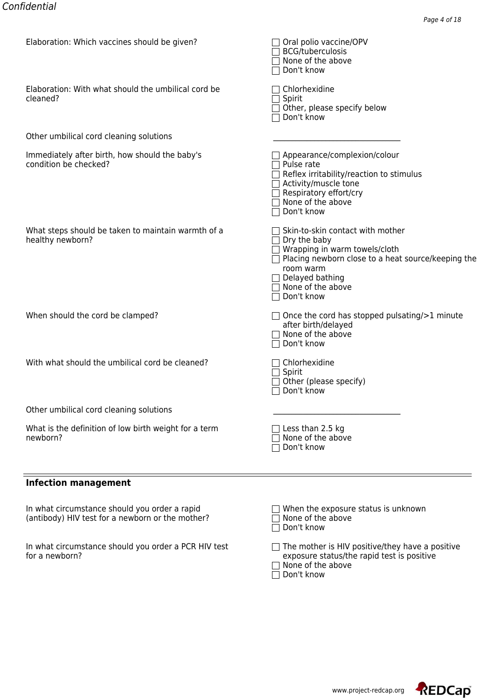| ciaboration: winch vaccines should be given?                                                      | □ Oral polio vaccine/OPV<br><b>BCG/tuberculosis</b><br>$\Box$ None of the above<br>Don't know                                                                                                                                                               |
|---------------------------------------------------------------------------------------------------|-------------------------------------------------------------------------------------------------------------------------------------------------------------------------------------------------------------------------------------------------------------|
| Elaboration: With what should the umbilical cord be<br>cleaned?                                   | Chlorhexidine<br>Spirit<br>Other, please specify below<br>Don't know                                                                                                                                                                                        |
| Other umbilical cord cleaning solutions                                                           |                                                                                                                                                                                                                                                             |
| Immediately after birth, how should the baby's<br>condition be checked?                           | $\Box$ Appearance/complexion/colour<br>Pulse rate<br>Reflex irritability/reaction to stimulus<br>Activity/muscle tone<br>Respiratory effort/cry<br>None of the above<br>Don't know                                                                          |
| What steps should be taken to maintain warmth of a<br>healthy newborn?                            | $\Box$ Skin-to-skin contact with mother<br>$\Box$ Dry the baby<br>$\Box$ Wrapping in warm towels/cloth<br>$\Box$ Placing newborn close to a heat source/keeping the<br>room warm<br>$\Box$ Delayed bathing<br>$\Box$ None of the above<br>$\Box$ Don't know |
| When should the cord be clamped?                                                                  | $\Box$ Once the cord has stopped pulsating/>1 minute<br>after birth/delayed<br>$\Box$ None of the above<br>Don't know                                                                                                                                       |
| With what should the umbilical cord be cleaned?                                                   | $\Box$ Chlorhexidine<br>$\Box$ Spirit<br>Other (please specify)<br>Don't know                                                                                                                                                                               |
| Other umbilical cord cleaning solutions                                                           |                                                                                                                                                                                                                                                             |
| What is the definition of low birth weight for a term<br>newborn?                                 | Less than 2.5 kg<br>None of the above<br>Don't know                                                                                                                                                                                                         |
| <b>Infection management</b>                                                                       |                                                                                                                                                                                                                                                             |
| In what circumstance should you order a rapid<br>(antibody) HIV test for a newborn or the mother? | When the exposure status is unknown<br>None of the above<br>Don't know                                                                                                                                                                                      |

In what circumstance should you order a PCR HIV test  $\hskip10mm \Box$  The mother is HIV positive/they have a positive for a newborn? exposure status/the rapid test is positive

| $\Box$ The mother is HIV positive/they have a positive |
|--------------------------------------------------------|
| exposure status/the rapid test is positive             |
| $\Box$ Messex of the state of                          |

None of the above Don't know

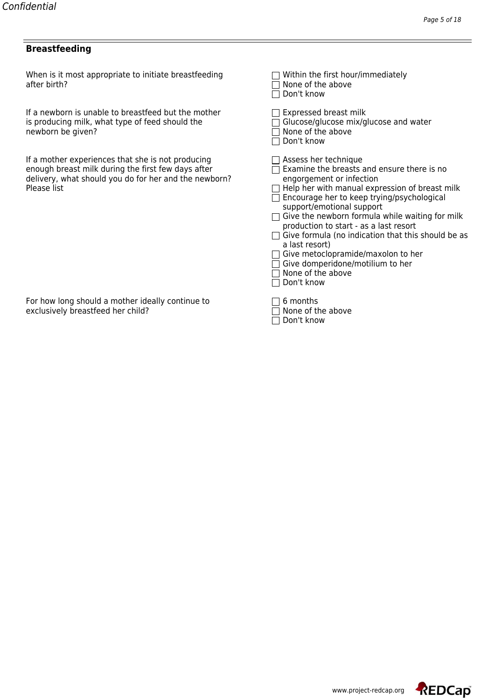#### **Breastfeeding**

When is it most appropriate to initiate breastfeeding  $\Box$  Within the first hour/immediately<br>after birth?  $\Box$  None of the above after birth?  $\Box$  None of the above  $\Box$ 

If a newborn is unable to breastfeed but the mother is producing milk, what type of feed should the newborn be given?

If a mother experiences that she is not producing enough breast milk during the first few days after delivery, what should you do for her and the newborn?<br>Please list Please list  $\hfill$  Help her with manual expression of breast milk

| Don't know                                                                                                                                                                                                                                                                                                                                                                                                                                                                                                    |
|---------------------------------------------------------------------------------------------------------------------------------------------------------------------------------------------------------------------------------------------------------------------------------------------------------------------------------------------------------------------------------------------------------------------------------------------------------------------------------------------------------------|
| Expressed breast milk<br>Glucose/glucose mix/glucose and water<br>None of the above<br>Don't know                                                                                                                                                                                                                                                                                                                                                                                                             |
| Assess her technique<br>Examine the breasts and ensure there is no<br>engorgement or infection<br>Help her with manual expression of breast milk<br>Encourage her to keep trying/psychological<br>support/emotional support<br>Give the newborn formula while waiting for milk<br>production to start - as a last resort<br>Give formula (no indication that this should be as<br>a last resort)<br>Give metoclopramide/maxolon to her<br>Give domperidone/motilium to her<br>None of the above<br>Don't know |
| 6 months                                                                                                                                                                                                                                                                                                                                                                                                                                                                                                      |

| l T None of the   |  |
|-------------------|--|
| $\Box$ Don't know |  |

For how long should a mother ideally continue to exclusively breastfeed her child?  $\Box$  None of the above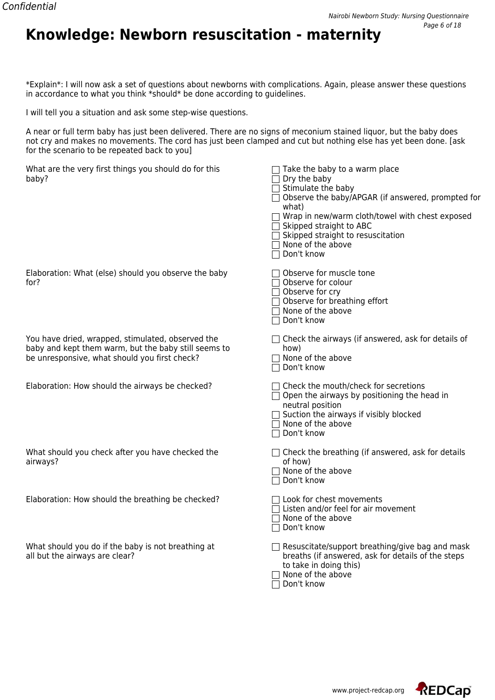# **Knowledge: Newborn resuscitation - maternity**

\*Explain\*: I will now ask a set of questions about newborns with complications. Again, please answer these questions in accordance to what you think \*should\* be done according to guidelines.

I will tell you a situation and ask some step-wise questions.

A near or full term baby has just been delivered. There are no signs of meconium stained liquor, but the baby does not cry and makes no movements. The cord has just been clamped and cut but nothing else has yet been done. [ask for the scenario to be repeated back to you]

| What are the very first things you should do for this<br>baby?                                                                                             | $\Box$ Take the baby to a warm place<br>Dry the baby<br>Stimulate the baby<br>Observe the baby/APGAR (if answered, prompted for<br>what)<br>Wrap in new/warm cloth/towel with chest exposed<br>Skipped straight to ABC<br>Skipped straight to resuscitation<br>7 None of the above<br>Don't know |
|------------------------------------------------------------------------------------------------------------------------------------------------------------|--------------------------------------------------------------------------------------------------------------------------------------------------------------------------------------------------------------------------------------------------------------------------------------------------|
| Elaboration: What (else) should you observe the baby<br>for?                                                                                               | Observe for muscle tone<br>Observe for colour<br>Observe for cry<br>Observe for breathing effort<br>7 None of the above<br>Don't know                                                                                                                                                            |
| You have dried, wrapped, stimulated, observed the<br>baby and kept them warm, but the baby still seems to<br>be unresponsive, what should you first check? | $\Box$ Check the airways (if answered, ask for details of<br>how)<br>None of the above<br>Don't know                                                                                                                                                                                             |
| Elaboration: How should the airways be checked?                                                                                                            | T Check the mouth/check for secretions<br>$\Box$ Open the airways by positioning the head in<br>neutral position<br>Suction the airways if visibly blocked<br>$\sqsupset$ None of the above<br>Don't know                                                                                        |
| What should you check after you have checked the<br>airways?                                                                                               | $\Box$ Check the breathing (if answered, ask for details<br>of how)<br>None of the above<br>Don't know                                                                                                                                                                                           |
| Elaboration: How should the breathing be checked?                                                                                                          | 1 Look for chest movements<br>Listen and/or feel for air movement<br>None of the above<br>Don't know                                                                                                                                                                                             |
| What should you do if the baby is not breathing at<br>all but the airways are clear?                                                                       | Resuscitate/support breathing/give bag and mask<br>breaths (if answered, ask for details of the steps<br>to take in doing this)<br>None of the above<br>Don't know                                                                                                                               |

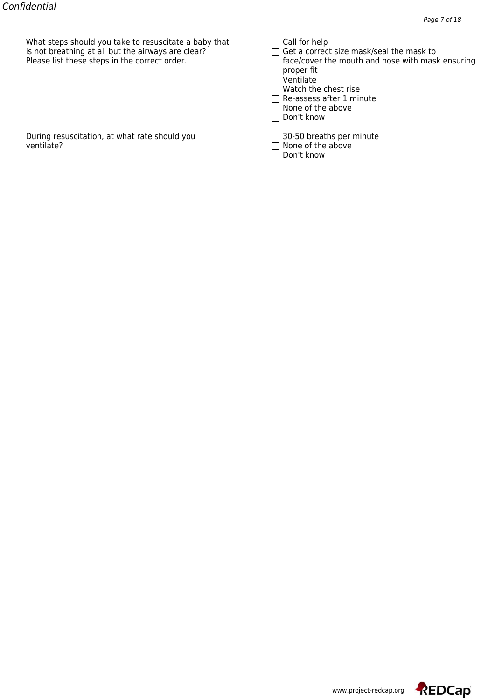What steps should you take to resuscitate a baby that  $\Box$  Call for help<br>is not breathing at all but the airways are clear?  $\Box$  Get a correct size mask/seal the mask to is not breathing at all but the airways are clear?<br>Please list these steps in the correct order.

|  |  |  | $\Box$ call for field |  |
|--|--|--|-----------------------|--|
|--|--|--|-----------------------|--|

face/cover the mouth and nose with mask ensuring proper fit

|  | 1 Ventilate |  |
|--|-------------|--|
|--|-------------|--|

Watch the chest rise

Re-assess after 1 minute

- None of the above
- $\overline{\Box}$  Don't know

During resuscitation, at what rate should you  $\Box$  30-50 breaths per minute ventilate?

| □ 30-50 breaths per minute |  |
|----------------------------|--|
|----------------------------|--|

- $\Box$  None of the above
- $\overline{\Box}$  Don't know

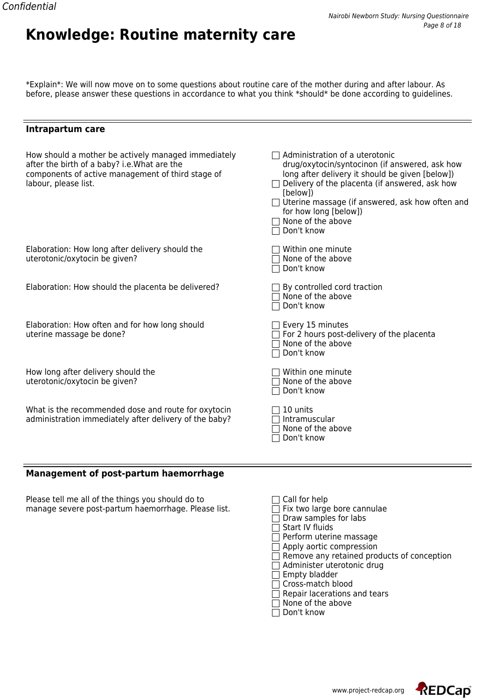\*Explain\*: We will now move on to some questions about routine care of the mother during and after labour. As before, please answer these questions in accordance to what you think \*should\* be done according to guidelines.

**Knowledge: Routine maternity care**

|  |  | Intrapartum care |  |
|--|--|------------------|--|
|--|--|------------------|--|

| How should a mother be actively managed immediately<br>after the birth of a baby? i.e. What are the<br>components of active management of third stage of<br>labour, please list. | Administration of a uterotonic<br>drug/oxytocin/syntocinon (if answered, ask how<br>long after delivery it should be given [below])<br>Delivery of the placenta (if answered, ask how<br>[below])<br>□ Uterine massage (if answered, ask how often and<br>for how long [below])<br>None of the above<br>Don't know |
|----------------------------------------------------------------------------------------------------------------------------------------------------------------------------------|--------------------------------------------------------------------------------------------------------------------------------------------------------------------------------------------------------------------------------------------------------------------------------------------------------------------|
| Elaboration: How long after delivery should the<br>uterotonic/oxytocin be given?                                                                                                 | Within one minute<br>None of the above<br>Don't know                                                                                                                                                                                                                                                               |
| Elaboration: How should the placenta be delivered?                                                                                                                               | By controlled cord traction<br>None of the above<br>Don't know                                                                                                                                                                                                                                                     |
| Elaboration: How often and for how long should<br>uterine massage be done?                                                                                                       | $\Box$ Every 15 minutes<br>For 2 hours post-delivery of the placenta<br>None of the above<br>Don't know                                                                                                                                                                                                            |
| How long after delivery should the<br>uterotonic/oxytocin be given?                                                                                                              | Within one minute<br>None of the above<br>Don't know                                                                                                                                                                                                                                                               |
| What is the recommended dose and route for oxytocin<br>administration immediately after delivery of the baby?                                                                    | 10 units<br>Intramuscular<br>None of the above<br>Don't know                                                                                                                                                                                                                                                       |
| <b>Management of post-partum haemorrhage</b>                                                                                                                                     |                                                                                                                                                                                                                                                                                                                    |

Please tell me all of the things you should do to  $\hskip10mm \Box$  Call for help manage severe post-partum haemorrhage. Please list.  $\hfill \square$  Fix two large bore cannulae

| $\Box$ Call for help                              |
|---------------------------------------------------|
| $\Box$ Fix two large bore cannulae                |
| $\Box$ Draw samples for labs                      |
| $\Box$ Start IV fluids                            |
| $\Box$ Perform uterine massage                    |
| $\Box$ Apply aortic compression                   |
| $\Box$ Remove any retained products of conception |
| $\Box$ Administer uterotonic drug                 |
| $\Box$ Empty bladder                              |
| □ Cross-match blood                               |
| $\Box$ Repair lacerations and tears               |
| $\Box$ None of the above                          |
| $\Box$ Don't know                                 |



 $=$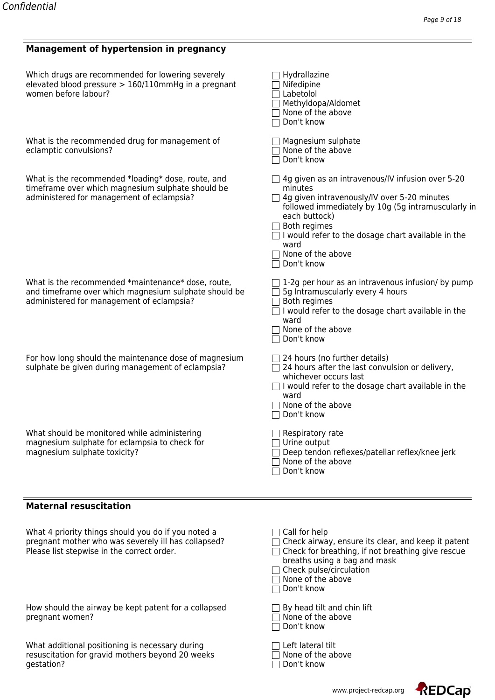#### **Management of hypertension in pregnancy**

| Which drugs are recommended for lowering severely<br>elevated blood pressure > 160/110mmHg in a pregnant<br>women before labour?                         | $\Box$ Hydrallazine<br>$\Box$ Nifedipine<br>$\Box$ Labetolol<br>□ Methyldopa/Aldomet<br>$\Box$ None of the above<br>□ Don't know                                                                                                                                                                                                        |
|----------------------------------------------------------------------------------------------------------------------------------------------------------|-----------------------------------------------------------------------------------------------------------------------------------------------------------------------------------------------------------------------------------------------------------------------------------------------------------------------------------------|
| What is the recommended drug for management of<br>eclamptic convulsions?                                                                                 | $\Box$ Magnesium sulphate<br>$\Box$ None of the above<br>□ Don't know                                                                                                                                                                                                                                                                   |
| What is the recommended *loading* dose, route, and<br>timeframe over which magnesium sulphate should be<br>administered for management of eclampsia?     | $\Box$ 4g given as an intravenous/IV infusion over 5-20<br>minutes<br>$\Box$ 4g given intravenously/IV over 5-20 minutes<br>followed immediately by 10g (5g intramuscularly in<br>each buttock)<br>$\Box$ Both regimes<br>$\Box$ I would refer to the dosage chart available in the<br>ward<br>$\Box$ None of the above<br>□ Don't know |
| What is the recommended *maintenance* dose, route,<br>and timeframe over which magnesium sulphate should be<br>administered for management of eclampsia? | $\Box$ 1-2g per hour as an intravenous infusion/ by pump<br>$\Box$ 5g Intramuscularly every 4 hours<br>$\Box$ Both regimes<br>$\Box$ I would refer to the dosage chart available in the<br>ward<br>$\Box$ None of the above<br>□ Don't know                                                                                             |
| For how long should the maintenance dose of magnesium<br>sulphate be given during management of eclampsia?                                               | $\Box$ 24 hours (no further details)<br>$\Box$ 24 hours after the last convulsion or delivery,<br>whichever occurs last<br>$\Box$ I would refer to the dosage chart available in the<br>ward<br>$\Box$ None of the above<br>□ Don't know                                                                                                |
| What should be monitored while administering<br>magnesium sulphate for eclampsia to check for<br>magnesium sulphate toxicity?                            | $\Box$ Respiratory rate<br>$\Box$ Urine output<br>$\Box$ Deep tendon reflexes/patellar reflex/knee jerk<br>$\Box$ None of the above<br>$\Box$ Don't know                                                                                                                                                                                |

#### **Maternal resuscitation**

What additional positioning is necessary during  $\hskip10mm \Box$  Left lateral tilt resuscitation for gravid mothers beyond 20 weeks  $\hskip10mm \Box$  None of the above gestation? 
<br>  $\Box$  Don't know

| What 4 priority things should you do if you noted a<br>pregnant mother who was severely ill has collapsed?<br>Please list stepwise in the correct order. | $\sqcap$ Call for help<br>$\Box$ Check airway, ensure its clear, and keep it patent<br>$\Box$ Check for breathing, if not breathing give rescue<br>breaths using a bag and mask<br>$\Box$ Check pulse/circulation<br>None of the above<br>$\sqcap$ Don't know |
|----------------------------------------------------------------------------------------------------------------------------------------------------------|---------------------------------------------------------------------------------------------------------------------------------------------------------------------------------------------------------------------------------------------------------------|
| How should the airway be kept patent for a collapsed<br>pregnant women?                                                                                  | $\Box$ By head tilt and chin lift<br>None of the above<br>$\sqcap$ Don't know                                                                                                                                                                                 |
| What additional positioning is necessary during<br>resuscitation for gravid mothers beyond 20 weeks                                                      | Left lateral tilt<br>None of the above                                                                                                                                                                                                                        |

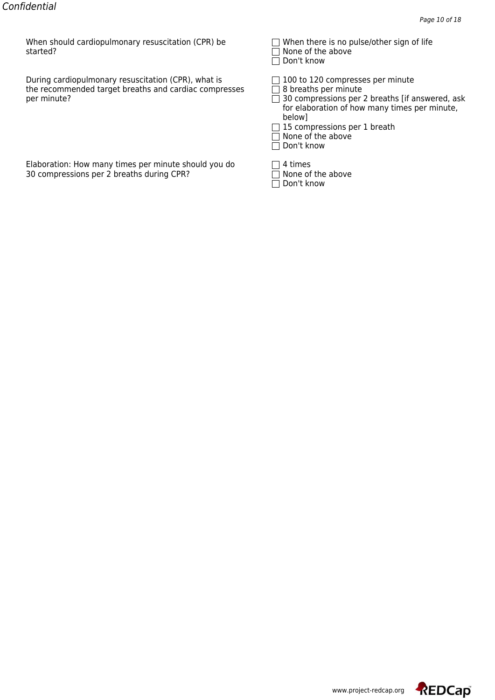When should cardiopulmonary resuscitation (CPR) be  $\Box$  When there is no pulse/other sign of life<br>started?  $\Box$  None of the above

During cardiopulmonary resuscitation (CPR), what is  $\square$  100 to 120 compresses per minute the recommended target breaths and cardiac compresses per minute?  $\Box$  30 compressions per 2 breaths [if answered, ask

Elaboration: How many times per minute should you do  $\Box$  4 times 30 compressions per 2 breaths during CPR? 30 compressions per 2 breaths during CPR?

| $\Box$ when there is no pulse/other sigh of the |  |  |
|-------------------------------------------------|--|--|
| $\Box$ None of the above                        |  |  |
|                                                 |  |  |

 $\overline{\Box}$  Don't know

- for elaboration of how many times per minute, below]
- $\Box$  15 compressions per 1 breath
- □ None of the above
- □ Don't know
- 
- 
- $\Box$  Don't know

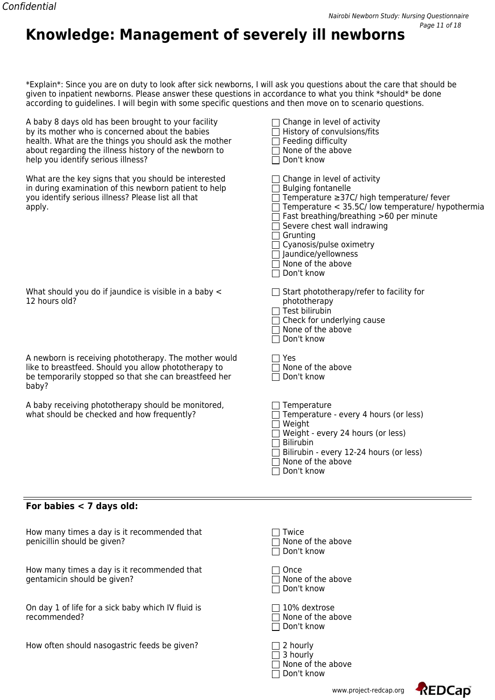#### \*Explain\*: Since you are on duty to look after sick newborns, I will ask you questions about the care that should be given to inpatient newborns. Please answer these questions in accordance to what you think \*should\* be done according to guidelines. I will begin with some specific questions and then move on to scenario questions.

**Knowledge: Management of severely ill newborns**

A baby 8 days old has been brought to your facility  $\Box$  Change in level of activity by its mother who is concerned about the babies  $\Box$  History of convulsions/fits health. What are the things you should ask the mother  $\Box$  Feeding difficulty about regarding the illness history of the newborn to help you identify serious illness?

| about regarding the illness history of the newborn to<br>help you identify serious illness?                                                                                     | None of the above<br>Don't know                                                                                                                                                                                                                                                                                                              |
|---------------------------------------------------------------------------------------------------------------------------------------------------------------------------------|----------------------------------------------------------------------------------------------------------------------------------------------------------------------------------------------------------------------------------------------------------------------------------------------------------------------------------------------|
| What are the key signs that you should be interested<br>in during examination of this newborn patient to help<br>you identify serious illness? Please list all that<br>apply.   | Change in level of activity<br><b>Bulging fontanelle</b><br>Temperature ≥37C/ high temperature/ fever<br>Temperature < 35.5C/ low temperature/ hypothermia<br>Fast breathing/breathing >60 per minute<br>Severe chest wall indrawing<br>Grunting<br>Cyanosis/pulse oximetry<br>$\Box$ Jaundice/yellowness<br>None of the above<br>Don't know |
| What should you do if jaundice is visible in a baby <<br>12 hours old?                                                                                                          | $\Box$ Start phototherapy/refer to facility for<br>phototherapy<br>Test bilirubin<br>Check for underlying cause<br>None of the above<br>Don't know                                                                                                                                                                                           |
| A newborn is receiving phototherapy. The mother would<br>like to breastfeed. Should you allow phototherapy to<br>be temporarily stopped so that she can breastfeed her<br>baby? | ヿ Yes<br>None of the above<br>Don't know                                                                                                                                                                                                                                                                                                     |
| A baby receiving phototherapy should be monitored,<br>what should be checked and how frequently?                                                                                | Temperature<br>Temperature - every 4 hours (or less)<br>Weight<br>Weight - every 24 hours (or less)<br><b>Bilirubin</b><br>Bilirubin - every 12-24 hours (or less)<br>None of the above<br>Don't know                                                                                                                                        |

#### **For babies < 7 days old:**

| How many times a day is it recommended that | $\Box$ Twice             |
|---------------------------------------------|--------------------------|
| penicillin should be given?                 | $\Box$ None of the above |

How many times a day is it recommended that gentamicin should be given?  $\Box$  None of the above

On day 1 of life for a sick baby which IV fluid is  $\square$  10% dextrose<br>
recommended?  $\square$  None of the ab

How often should nasogastric feeds be given?

| <b>II</b> I WILE<br>$\Box$ None of the abo<br>$\Box$ Don't know |
|-----------------------------------------------------------------|
| $\Box$ Once<br>$\Box$ None of the abo<br>□ Don't know           |

 $\Box$  None of the above Don't know

| $\Box$ 2 hourly          |
|--------------------------|
| $\Box$ 3 hourly          |
| $\Box$ None of the above |
| $\Box$ Don't know        |



www.project-redcap.org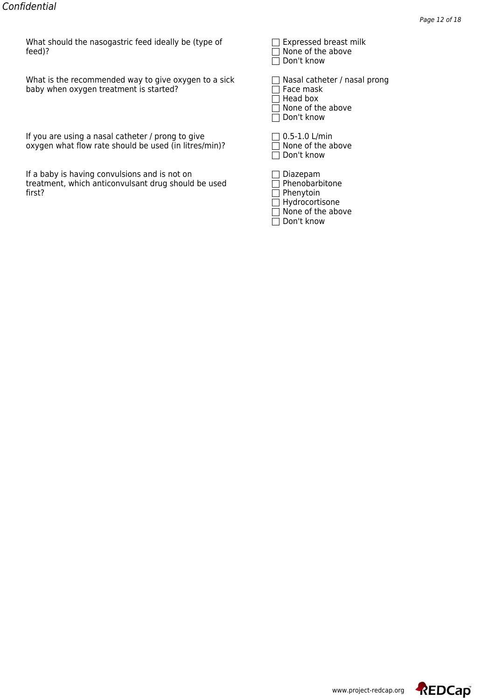What should the nasogastric feed ideally be (type of  $\Box$  Expressed breast milk feed)? feed)? None of the above

What is the recommended way to give oxygen to a sick  $\Box$  Nasal catheter / nasal prong baby when oxygen treatment is started?

If you are using a nasal catheter / prong to give  $\Box$  0.5-1.0 L/min oxygen what flow rate should be used (in litres/min)?  $\square$  None of the above

If a baby is having convulsions and is not on treatment, which anticonvulsant drug should be used first? first? Phenytoin

| $\Box$ Lyhicssen niegst iiiii |
|-------------------------------|
| $\Box$ None of the above      |
| $\Box$ Don't know             |

 $\Box$  Face mask  $\Box$  Head box  $\Box$  None of the above  $\overline{\Box}$  Don't know

| 0.5-1.0 L/min           |
|-------------------------|
| $\Box$ None of the abov |
| $\Box$ Don't know       |

|         | Diazepam          |
|---------|-------------------|
|         | Phenobarbitone    |
| $\perp$ | Phenytoin         |
|         | Hydrocortisone    |
|         | None of the above |
|         | Don't know        |

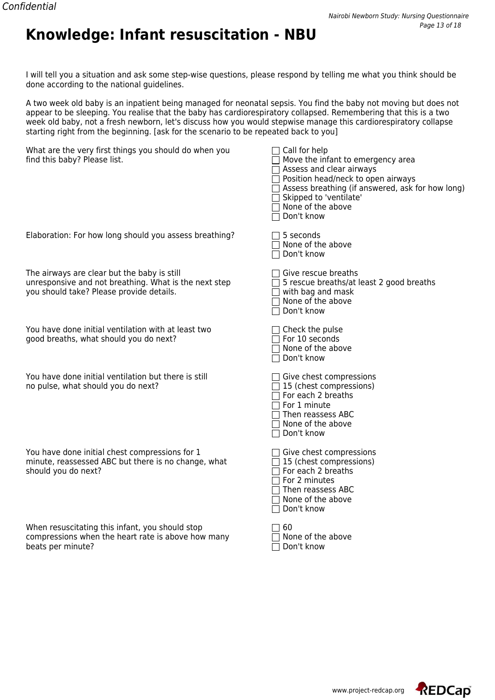

I will tell you a situation and ask some step-wise questions, please respond by telling me what you think should be done according to the national guidelines.

A two week old baby is an inpatient being managed for neonatal sepsis. You find the baby not moving but does not appear to be sleeping. You realise that the baby has cardiorespiratory collapsed. Remembering that this is a two week old baby, not a fresh newborn, let's discuss how you would stepwise manage this cardiorespiratory collapse starting right from the beginning. [ask for the scenario to be repeated back to you]

| What are the very first things you should do when you<br>find this baby? Please list.                                                            | Call for help<br>Move the infant to emergency area<br>Assess and clear airways<br>Position head/neck to open airways<br>Assess breathing (if answered, ask for how long)<br>Skipped to 'ventilate'<br>None of the above<br>Don't know |
|--------------------------------------------------------------------------------------------------------------------------------------------------|---------------------------------------------------------------------------------------------------------------------------------------------------------------------------------------------------------------------------------------|
| Elaboration: For how long should you assess breathing?                                                                                           | 5 seconds<br>None of the above<br>Don't know                                                                                                                                                                                          |
| The airways are clear but the baby is still<br>unresponsive and not breathing. What is the next step<br>you should take? Please provide details. | Give rescue breaths<br>5 rescue breaths/at least 2 good breaths<br>with bag and mask<br>None of the above<br>Don't know                                                                                                               |
| You have done initial ventilation with at least two<br>good breaths, what should you do next?                                                    | $\Box$ Check the pulse<br>For 10 seconds<br>None of the above<br>Don't know                                                                                                                                                           |
| You have done initial ventilation but there is still<br>no pulse, what should you do next?                                                       | $\Box$ Give chest compressions<br>$\Box$ 15 (chest compressions)<br>$\sqsupset$ For each 2 breaths<br>For 1 minute<br>$\sqsupset$ Then reassess ABC<br>None of the above<br>Don't know                                                |
| You have done initial chest compressions for 1<br>minute, reassessed ABC but there is no change, what<br>should you do next?                     | Give chest compressions<br>$\Box$ 15 (chest compressions)<br>$\sqsupset$ For each 2 breaths<br>For 2 minutes<br>Then reassess ABC<br>None of the above<br>Don't know                                                                  |
| When resuscitating this infant, you should stop<br>compressions when the heart rate is above how many<br>beats per minute?                       | 60<br>None of the above<br>Don't know                                                                                                                                                                                                 |

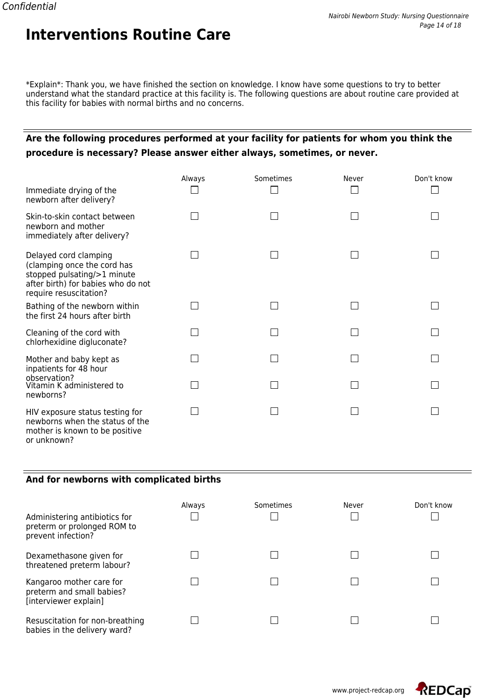\*Explain\*: Thank you, we have finished the section on knowledge. I know have some questions to try to better understand what the standard practice at this facility is. The following questions are about routine care provided at this facility for babies with normal births and no concerns.

## **Are the following procedures performed at your facility for patients for whom you think the procedure is necessary? Please answer either always, sometimes, or never.**

|                                                                                                                                                     | Always | Sometimes | Never | Don't know |
|-----------------------------------------------------------------------------------------------------------------------------------------------------|--------|-----------|-------|------------|
| Immediate drying of the<br>newborn after delivery?                                                                                                  |        |           |       |            |
| Skin-to-skin contact between<br>newborn and mother<br>immediately after delivery?                                                                   |        |           |       |            |
| Delayed cord clamping<br>(clamping once the cord has<br>stopped pulsating/>1 minute<br>after birth) for babies who do not<br>require resuscitation? |        |           |       |            |
| Bathing of the newborn within<br>the first 24 hours after birth                                                                                     |        |           |       |            |
| Cleaning of the cord with<br>chlorhexidine digluconate?                                                                                             |        |           |       |            |
| Mother and baby kept as<br>inpatients for 48 hour                                                                                                   |        |           |       |            |
| observation?<br>Vitamin K administered to<br>newborns?                                                                                              |        |           |       |            |
| HIV exposure status testing for<br>newborns when the status of the<br>mother is known to be positive<br>or unknown?                                 |        |           |       |            |

#### **And for newborns with complicated births**

| Administering antibiotics for<br>preterm or prolonged ROM to<br>prevent infection? | Always | Sometimes | Never | Don't know |
|------------------------------------------------------------------------------------|--------|-----------|-------|------------|
| Dexamethasone given for<br>threatened preterm labour?                              |        |           |       |            |
| Kangaroo mother care for<br>preterm and small babies?<br>[interviewer explain]     |        |           |       |            |
| Resuscitation for non-breathing<br>babies in the delivery ward?                    |        |           |       |            |

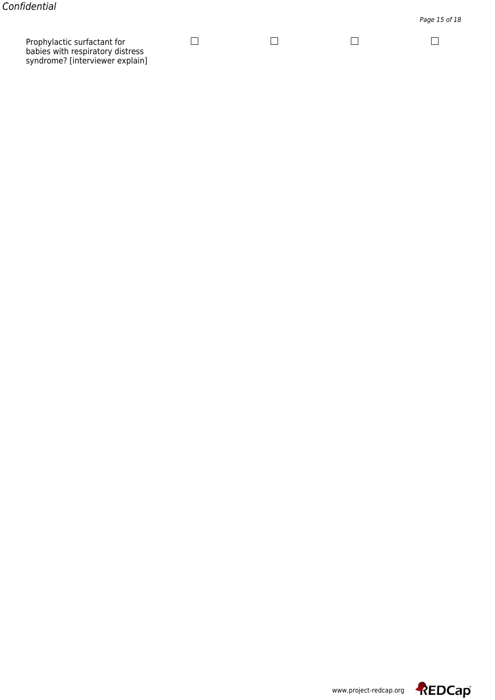Prophylactic surfactant for babies with respiratory distress syndrome? [interviewer explain]

لسا

 $\Box$ 

لما

 $\Box$ 

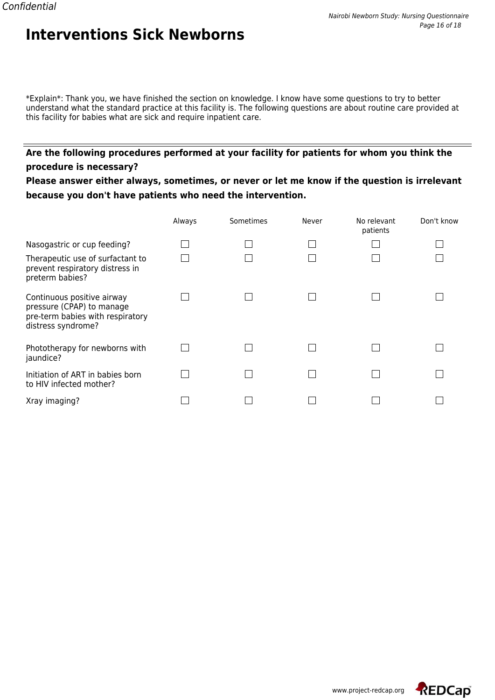\*Explain\*: Thank you, we have finished the section on knowledge. I know have some questions to try to better understand what the standard practice at this facility is. The following questions are about routine care provided at this facility for babies what are sick and require inpatient care.

## **Are the following procedures performed at your facility for patients for whom you think the procedure is necessary?**

**Please answer either always, sometimes, or never or let me know if the question is irrelevant because you don't have patients who need the intervention.**

|                                                                                                                   | Always | Sometimes | Never | No relevant<br>patients | Don't know |
|-------------------------------------------------------------------------------------------------------------------|--------|-----------|-------|-------------------------|------------|
| Nasogastric or cup feeding?                                                                                       |        |           |       |                         |            |
| Therapeutic use of surfactant to<br>prevent respiratory distress in<br>preterm babies?                            |        |           |       |                         |            |
| Continuous positive airway<br>pressure (CPAP) to manage<br>pre-term babies with respiratory<br>distress syndrome? |        |           |       |                         |            |
| Phototherapy for newborns with<br>jaundice?                                                                       |        |           |       |                         |            |
| Initiation of ART in babies born<br>to HIV infected mother?                                                       |        |           |       |                         |            |
| Xray imaging?                                                                                                     |        |           |       |                         |            |

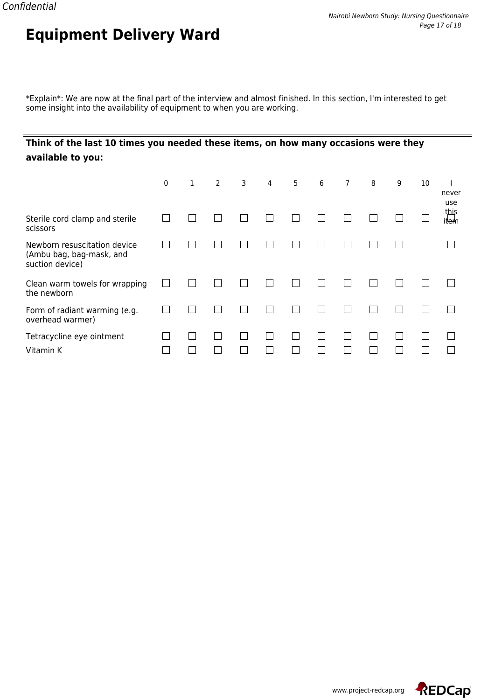\*Explain\*: We are now at the final part of the interview and almost finished. In this section, I'm interested to get some insight into the availability of equipment to when you are working.

## **Think of the last 10 times you needed these items, on how many occasions were they available to you:**

**Equipment Delivery Ward**

|                                                                             | 0 | $\mathbf{1}$ | 2 | 3 | 4 | 5 | 6 | 7 | 8 | 9 | 10 | never<br>use                |
|-----------------------------------------------------------------------------|---|--------------|---|---|---|---|---|---|---|---|----|-----------------------------|
| Sterile cord clamp and sterile<br>scissors                                  |   |              |   |   |   |   |   |   |   |   |    | this<br>it <del>ler</del> h |
| Newborn resuscitation device<br>(Ambu bag, bag-mask, and<br>suction device) |   |              |   |   |   |   |   |   |   |   |    |                             |
| Clean warm towels for wrapping<br>the newborn                               |   |              |   |   |   |   |   |   |   |   |    |                             |
| Form of radiant warming (e.g.<br>overhead warmer)                           |   |              |   |   |   |   |   |   |   |   |    |                             |
| Tetracycline eye ointment<br>Vitamin K                                      |   |              |   |   |   |   |   |   |   |   |    |                             |